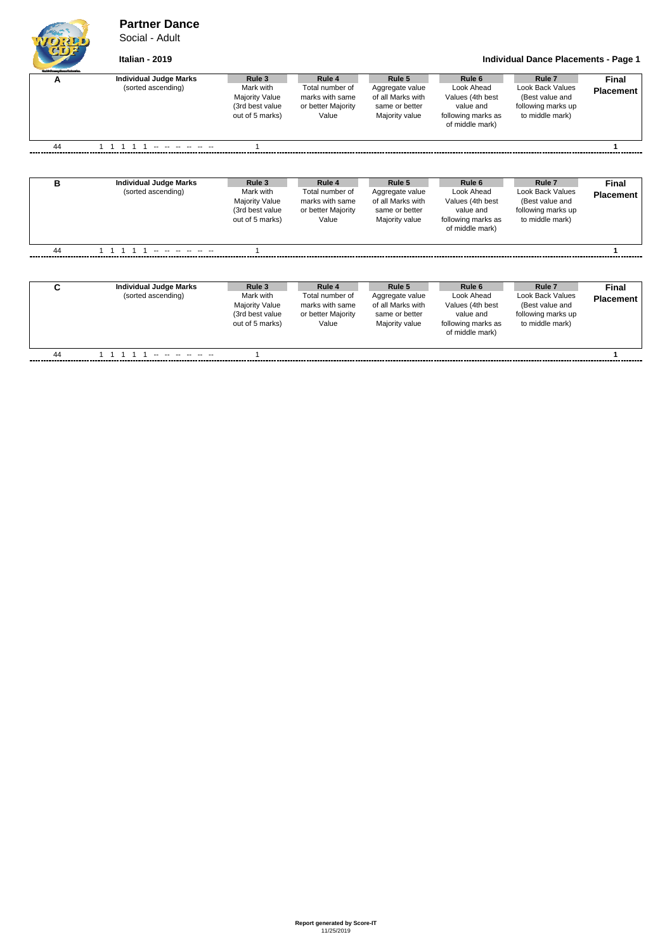### **Partner Dance**

Social - Adult

### **Italian - 2019 Individual Dance Placements - Page 1**

following marks up to middle mark)

| A  | <b>Individual Judge Marks</b><br>(sorted ascending) | Rule 3<br>Mark with<br><b>Majority Value</b><br>(3rd best value<br>out of 5 marks) | Rule 4<br>Total number of<br>marks with same<br>or better Majority<br>Value | Rule 5<br>Aggregate value<br>of all Marks with<br>same or better<br>Majority value | Rule 6<br>Look Ahead<br>Values (4th best<br>value and<br>following marks as<br>of middle mark)            | Rule <sub>7</sub><br><b>Look Back Values</b><br>(Best value and<br>following marks up<br>to middle mark) | <b>Final</b><br><b>Placement</b> |
|----|-----------------------------------------------------|------------------------------------------------------------------------------------|-----------------------------------------------------------------------------|------------------------------------------------------------------------------------|-----------------------------------------------------------------------------------------------------------|----------------------------------------------------------------------------------------------------------|----------------------------------|
| 44 |                                                     |                                                                                    |                                                                             |                                                                                    |                                                                                                           |                                                                                                          |                                  |
| в  | <b>Individual Judge Marks</b><br>(sorted ascending) | Rule 3<br>Mark with<br><b>Majority Value</b><br>(3rd best value<br>out of 5 marks) | Rule 4<br>Total number of<br>marks with same<br>or better Majority<br>Value | Rule 5<br>Aggregate value<br>of all Marks with<br>same or better<br>Majority value | Rule <sub>6</sub><br>Look Ahead<br>Values (4th best<br>value and<br>following marks as<br>of middle mark) | Rule <sub>7</sub><br><b>Look Back Values</b><br>(Best value and<br>following marks up<br>to middle mark) | Final<br><b>Placement</b>        |
| 44 |                                                     |                                                                                    |                                                                             |                                                                                    |                                                                                                           |                                                                                                          |                                  |
| C  | <b>Individual Judge Marks</b><br>(sorted ascending) | Rule 3<br>Mark with<br><b>Majority Value</b>                                       | Rule 4<br>Total number of<br>marks with same                                | Rule 5<br>Aggregate value<br>of all Marks with                                     | Rule <sub>6</sub><br>Look Ahead<br>Values (4th best                                                       | Rule <sub>7</sub><br><b>Look Back Values</b><br>(Best value and                                          | <b>Final</b><br><b>Placement</b> |

or better Majority Value

same or better Majority value

value and following marks as of middle mark)

(3rd best value out of 5 marks)

44 1 1 1 1 1 -- -- -- -- -- -- 1 **1**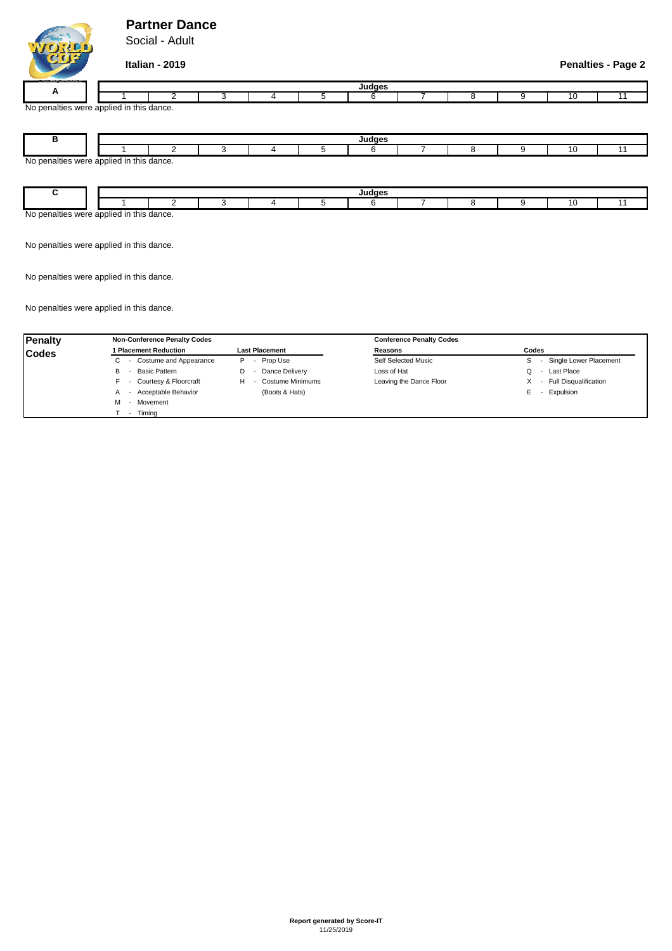## **Partner Dance**

Social - Adult

**Italian - 2019 Penalties - Page 2**

| _______                                                        |  | ,,,,,,, |  |  |  |  |  |  |  |  |  |  |  |
|----------------------------------------------------------------|--|---------|--|--|--|--|--|--|--|--|--|--|--|
| . .                                                            |  |         |  |  |  |  |  |  |  |  |  |  |  |
| <b>No</b><br>alties were applied in this dance.<br>nn<br>. v v |  |         |  |  |  |  |  |  |  |  |  |  |  |

| ◡                                        |  |  |  |  |  | 11770 |  |  |  |  |  |
|------------------------------------------|--|--|--|--|--|-------|--|--|--|--|--|
|                                          |  |  |  |  |  |       |  |  |  |  |  |
| No penalties were applied in this dance. |  |  |  |  |  |       |  |  |  |  |  |
|                                          |  |  |  |  |  |       |  |  |  |  |  |

| th<br>uance. |  |  |  |  |  |  |  |  |  |  |  |  |
|--------------|--|--|--|--|--|--|--|--|--|--|--|--|

No penalties were applied in this dance.

No penalties were applied in this dance.

No penalties were applied in this dance.

| Penalty      | <b>Non-Conference Penalty Codes</b> |                       | <b>Conference Penalty Codes</b> |                                                               |  |  |  |
|--------------|-------------------------------------|-----------------------|---------------------------------|---------------------------------------------------------------|--|--|--|
| <b>Codes</b> | 1 Placement Reduction               | <b>Last Placement</b> | Reasons                         | Codes                                                         |  |  |  |
|              | - Costume and Appearance<br>C.      | - Prop Use<br>P.      | Self Selected Music             | Single Lower Placement<br>S                                   |  |  |  |
|              | - Basic Pattern<br>в                | Dance Delivery        | Loss of Hat                     | Last Place<br>Q                                               |  |  |  |
|              | - Courtesy & Floorcraft             | Costume Minimums<br>н | Leaving the Dance Floor         | <b>Full Disqualification</b><br>х<br>$\overline{\phantom{a}}$ |  |  |  |
|              | - Acceptable Behavior<br>A          | (Boots & Hats)        |                                 | Expulsion<br>E                                                |  |  |  |
|              | - Movement<br>м                     |                       |                                 |                                                               |  |  |  |
|              | Timina<br>$\overline{\phantom{a}}$  |                       |                                 |                                                               |  |  |  |